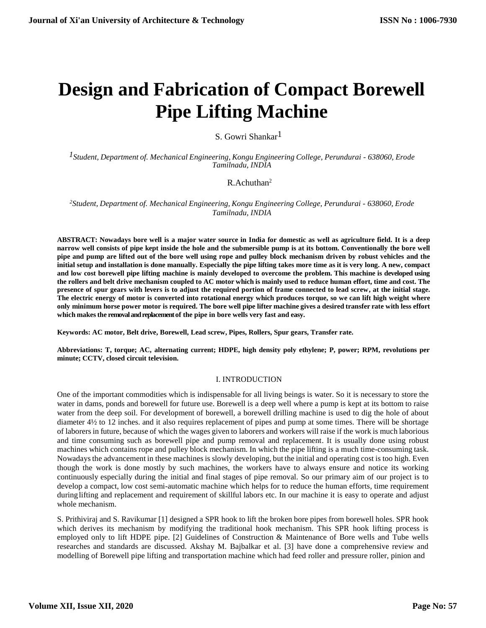# **Design and Fabrication of Compact Borewell Pipe Lifting Machine**

## S. Gowri Shankar 1

*1Student, Department of. Mechanical Engineering, Kongu Engineering College, Perundurai - 638060, Erode Tamilnadu, INDIA*

## R.Achuthan 2

*<sup>2</sup>Student, Department of. Mechanical Engineering, Kongu Engineering College, Perundurai - 638060, Erode Tamilnadu, INDIA*

ABSTRACT: Nowadays bore well is a major water source in India for domestic as well as agriculture field. It is a deep narrow well consists of pipe kept inside the hole and the submersible pump is at its bottom. Conventionally the bore well pipe and pump are lifted out of the bore well using rope and pulley block mechanism driven by robust vehicles and the initial setup and installation is done manually. Especially the pipe lifting takes more time as it is very long. A new, compact and low cost borewell pipe lifting machine is mainly developed to overcome the problem. This machine is developed using the rollers and belt drive mechanism coupled to AC motor which is mainly used to reduce human effort, time and cost. The presence of spur gears with levers is to adjust the required portion of frame connected to lead screw, at the initial stage. **The electric energy of motor is converted into rotational energy which produces torque, so we can lift high weight where**  only minimum horse power motor is required. The bore well pipe lifter machine gives a desired transfer rate with less effort **which makesthe removalandreplacementof the pipe in bore wells very fast and easy.**

**Keywords: AC motor, Belt drive, Borewell, Lead screw, Pipes, Rollers, Spur gears, Transfer rate.**

**Abbreviations: T, torque; AC, alternating current; HDPE, high density poly ethylene; P, power; RPM, revolutions per minute; CCTV, closed circuit television.**

## I. INTRODUCTION

One of the important commodities which is indispensable for all living beings is water. So it is necessary to store the water in dams, ponds and borewell for future use. Borewell is a deep well where a pump is kept at its bottom to raise water from the deep soil. For development of borewell, a borewell drilling machine is used to dig the hole of about diameter 4½ to 12 inches. and it also requires replacement of pipes and pump at some times. There will be shortage of laborersin future, because of which the wages given to laborers and workers will raise if the work is much laborious and time consuming such as borewell pipe and pump removal and replacement. It is usually done using robust machines which contains rope and pulley block mechanism. In which the pipe lifting is a much time-consuming task. Nowadaysthe advancement in these machines is slowly developing, but the initial and operating cost is too high. Even though the work is done mostly by such machines, the workers have to always ensure and notice its working continuously especially during the initial and final stages of pipe removal. So our primary aim of our project is to develop a compact, low cost semi-automatic machine which helps for to reduce the human efforts, time requirement during lifting and replacement and requirement of skillful labors etc. In our machine it is easy to operate and adjust whole mechanism.

S. Prithiviraj and S. Ravikumar [1] designed a SPR hook to lift the broken bore pipes from borewell holes. SPR hook which derives its mechanism by modifying the traditional hook mechanism. This SPR hook lifting process is employed only to lift HDPE pipe. [2] Guidelines of Construction & Maintenance of Bore wells and Tube wells researches and standards are discussed. Akshay M. Bajbalkar et al. [3] have done a comprehensive review and modelling of Borewell pipe lifting and transportation machine which had feed roller and pressure roller, pinion and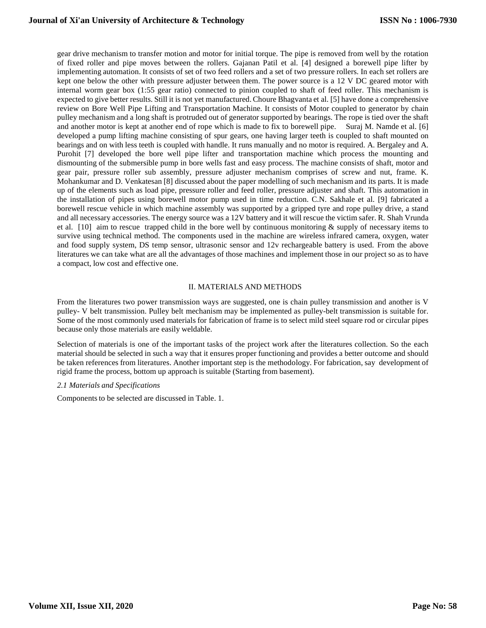gear drive mechanism to transfer motion and motor for initial torque. The pipe is removed from well by the rotation of fixed roller and pipe moves between the rollers. Gajanan Patil et al. [4] designed a borewell pipe lifter by implementing automation. It consists of set of two feed rollers and a set of two pressure rollers. In each set rollers are kept one below the other with pressure adjuster between them. The power source is a 12 V DC geared motor with internal worm gear box (1:55 gear ratio) connected to pinion coupled to shaft of feed roller. This mechanism is expected to give better results. Still it is not yet manufactured. Choure Bhagvanta et al. [5] have done a comprehensive review on Bore Well Pipe Lifting and Transportation Machine. It consists of Motor coupled to generator by chain pulley mechanism and a long shaft is protruded out of generator supported by bearings. The rope is tied over the shaft and another motor is kept at another end of rope which is made to fix to borewell pipe. Suraj M. Namde et al. [6] developed a pump lifting machine consisting of spur gears, one having larger teeth is coupled to shaft mounted on bearings and on with less teeth is coupled with handle. It runs manually and no motor is required. A. Bergaley and A. Purohit [7] developed the bore well pipe lifter and transportation machine which process the mounting and dismounting of the submersible pump in bore wells fast and easy process. The machine consists of shaft, motor and gear pair, pressure roller sub assembly, pressure adjuster mechanism comprises of screw and nut, frame. K. Mohankumar and D. Venkatesan [8] discussed about the paper modelling of such mechanism and its parts. It is made up of the elements such as load pipe, pressure roller and feed roller, pressure adjuster and shaft. This automation in the installation of pipes using borewell motor pump used in time reduction. C.N. Sakhale et al. [9] fabricated a borewell rescue vehicle in which machine assembly was supported by a gripped tyre and rope pulley drive, a stand and all necessary accessories. The energy source was a 12V battery and it will rescue the victim safer. R. Shah Vrunda et al. [10] aim to rescue trapped child in the bore well by continuous monitoring & supply of necessary items to survive using technical method. The components used in the machine are wireless infrared camera, oxygen, water and food supply system, DS temp sensor, ultrasonic sensor and 12v rechargeable battery is used. From the above literatures we can take what are all the advantages of those machines and implement those in our project so as to have a compact, low cost and effective one.

## II. MATERIALS AND METHODS

From the literatures two power transmission ways are suggested, one is chain pulley transmission and another is V pulley- V belt transmission. Pulley belt mechanism may be implemented as pulley-belt transmission is suitable for. Some of the most commonly used materials for fabrication of frame is to select mild steel square rod or circular pipes because only those materials are easily weldable.

Selection of materials is one of the important tasks of the project work after the literatures collection. So the each material should be selected in such a way that it ensures proper functioning and provides a better outcome and should be taken references from literatures. Another important step is the methodology. For fabrication, say development of rigid frame the process, bottom up approach is suitable (Starting from basement).

#### *2.1 Materials and Specifications*

Components to be selected are discussed in Table. 1.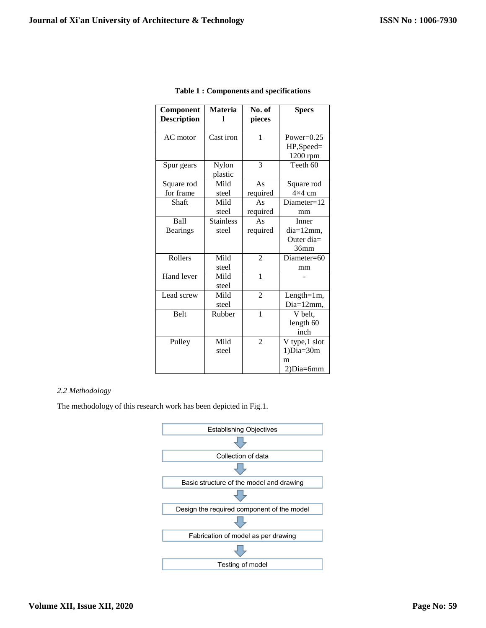| Component<br><b>Description</b> | <b>Materia</b>   | No. of<br>pieces | <b>Specs</b>   |
|---------------------------------|------------------|------------------|----------------|
| AC motor                        | Cast iron        | 1                | Power= $0.25$  |
|                                 |                  |                  | HP,Speed=      |
|                                 |                  |                  | 1200 rpm       |
| Spur gears                      | Nylon            | 3                | Teeth 60       |
|                                 | plastic          |                  |                |
| Square rod                      | Mild             | As               | Square rod     |
| for frame                       | steel            | required         | $4\times4$ cm  |
| Shaft                           | Mild             | As               | Diameter=12    |
|                                 | steel            | required         | mm             |
| Ball                            | <b>Stainless</b> | As               | Inner          |
| <b>Bearings</b>                 | steel            | required         | $dia=12mm$ ,   |
|                                 |                  |                  | Outer dia=     |
|                                 |                  |                  | 36mm           |
| Rollers                         | Mild             | $\mathfrak{D}$   | Diameter=60    |
|                                 | steel            |                  | mm             |
| Hand lever                      | Mild             | $\mathbf{1}$     |                |
|                                 | steel            |                  |                |
| Lead screw                      | Mild             | $\overline{2}$   | Length= $1m$ , |
|                                 | steel            |                  | Dia=12mm,      |
| <b>Belt</b>                     | Rubber           | 1                | V belt,        |
|                                 |                  |                  | length 60      |
|                                 |                  |                  | inch           |
| Pulley                          | Mild             | $\overline{2}$   | V type,1 slot  |
|                                 | steel            |                  | $1) Dia=30m$   |
|                                 |                  |                  | m              |
|                                 |                  |                  | 2)Dia=6mm      |

## **Table 1 : Components and specifications**

## *2.2 Methodology*

The methodology of this research work has been depicted in Fig.1.

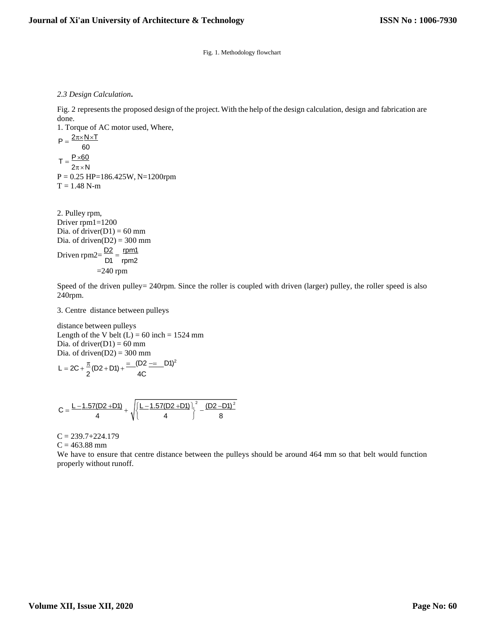Fig. 1. Methodology flowchart

*2.3 Design Calculation***.**

Fig. 2 represents the proposed design of the project. With the help of the design calculation, design and fabrication are done.

1. Torque of AC motor used, Where,  $P = \frac{2\pi \times N \times T}{2\pi}$ 60  $T = \frac{P \times 60}{5}$  $2\pi \times N$  $P = 0.25$  HP=186.425W, N=1200rpm  $T = 1.48$  N-m

2. Pulley rpm, Driver rpm1=1200 Dia. of driver $(D1) = 60$  mm Dia. of driven $(D2) = 300$  mm Driven rpm2= $\frac{D2}{D4} = \frac{rpm1}{2}$ D1 rpm2  $=240$  rpm

Speed of the driven pulley= 240rpm. Since the roller is coupled with driven (larger) pulley, the roller speed is also 240rpm.

3. Centre distance between pulleys

distance between pulleys Length of the V belt  $(L) = 60$  inch = 1524 mm Dia. of driver $(D1) = 60$  mm Dia. of driven $(D2) = 300$  mm  $\pi$  (DQ + D4) =  $(D2 = D1)^2$ 

$$
L = 2C + \frac{\pi}{2}(D2 + D1) + \frac{2\pi}{4C}
$$

$$
C=\frac{L-1.57(D2+D1)}{4}+\sqrt{\left\{\frac{L-1.57(D2+D1)}{4}\right\}^2-\frac{(D2-D1)^2}{8}}
$$

 $C = 239.7 + 224.179$  $C = 463.88$  mm

We have to ensure that centre distance between the pulleys should be around 464 mm so that belt would function properly without runoff.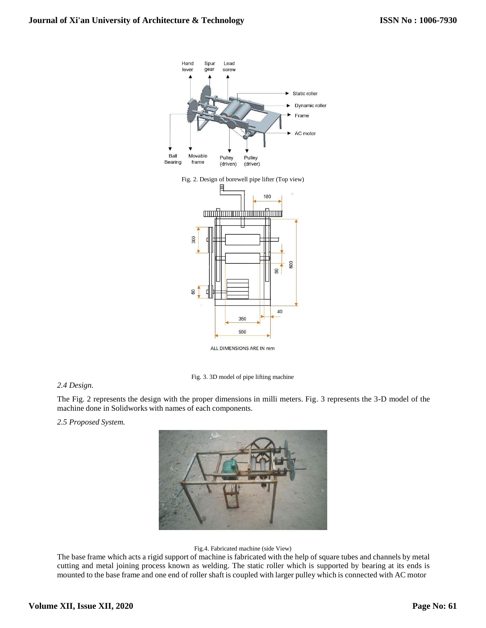

Fig. 2. Design of borewell pipe lifter (Top view)



ALL DIMENSIONS ARE IN mm

Fig. 3. 3D model of pipe lifting machine

## *2.4 Design.*

The Fig. 2 represents the design with the proper dimensions in milli meters. Fig. 3 represents the 3-D model of the machine done in Solidworks with names of each components.

*2.5 Proposed System.*



#### Fig.4. Fabricated machine (side View)

The base frame which acts a rigid support of machine is fabricated with the help of square tubes and channels by metal cutting and metal joining process known as welding. The static roller which is supported by bearing at its ends is mounted to the base frame and one end of roller shaft is coupled with larger pulley which is connected with AC motor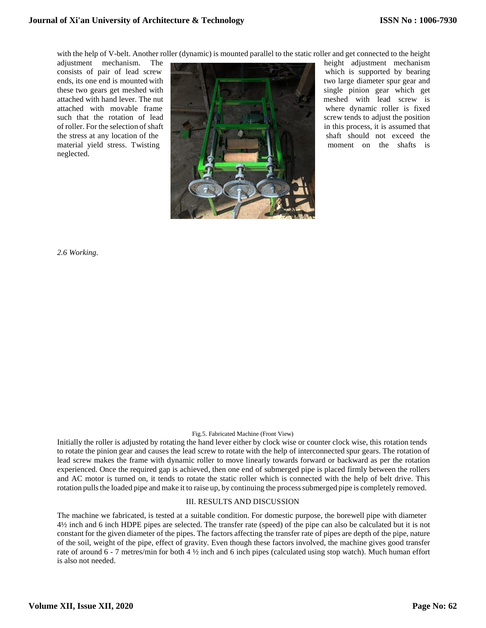with the help of V-belt. Another roller (dynamic) is mounted parallel to the static roller and get connected to the height

neglected.



*2.6 Working.*

#### Fig.5. Fabricated Machine (Front View)

Initially the roller is adjusted by rotating the hand lever either by clock wise or counter clock wise, this rotation tends to rotate the pinion gear and causes the lead screw to rotate with the help of interconnected spur gears. The rotation of lead screw makes the frame with dynamic roller to move linearly towards forward or backward as per the rotation experienced. Once the required gap is achieved, then one end of submerged pipe is placed firmly between the rollers and AC motor is turned on, it tends to rotate the static roller which is connected with the help of belt drive. This rotation pulls the loaded pipe and make it to raise up, by continuing the process submerged pipe is completely removed.

## III. RESULTS AND DISCUSSION

The machine we fabricated, is tested at a suitable condition. For domestic purpose, the borewell pipe with diameter 4½ inch and 6 inch HDPE pipes are selected. The transfer rate (speed) of the pipe can also be calculated but it is not constant for the given diameter of the pipes. The factors affecting the transfer rate of pipes are depth of the pipe, nature of the soil, weight of the pipe, effect of gravity. Even though these factors involved, the machine gives good transfer rate of around 6 - 7 metres/min for both 4 ½ inch and 6 inch pipes (calculated using stop watch). Much human effort is also not needed.